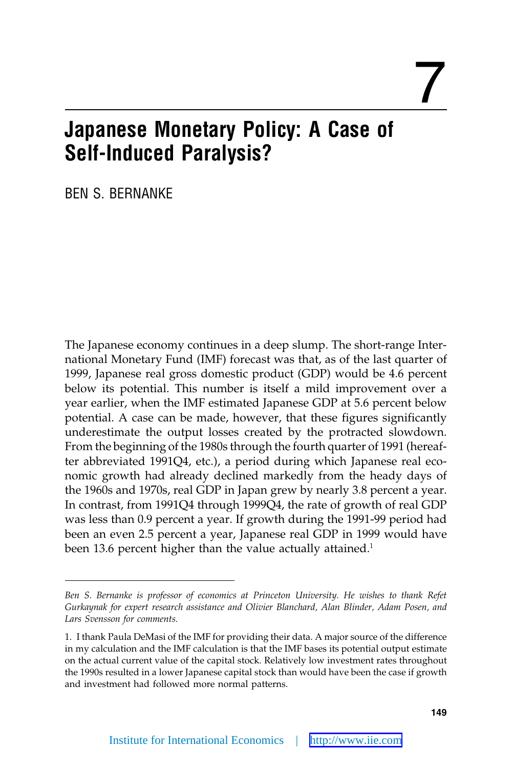# 7

# **Japanese Monetary Policy: A Case of Self-Induced Paralysis?**

BEN S. BERNANKE

The Japanese economy continues in a deep slump. The short-range International Monetary Fund (IMF) forecast was that, as of the last quarter of 1999, Japanese real gross domestic product (GDP) would be 4.6 percent below its potential. This number is itself a mild improvement over a year earlier, when the IMF estimated Japanese GDP at 5.6 percent below potential. A case can be made, however, that these figures significantly underestimate the output losses created by the protracted slowdown. From the beginning of the 1980s through the fourth quarter of 1991 (hereafter abbreviated 1991Q4, etc.), a period during which Japanese real economic growth had already declined markedly from the heady days of the 1960s and 1970s, real GDP in Japan grew by nearly 3.8 percent a year. In contrast, from 1991Q4 through 1999Q4, the rate of growth of real GDP was less than 0.9 percent a year. If growth during the 1991-99 period had been an even 2.5 percent a year, Japanese real GDP in 1999 would have been 13.6 percent higher than the value actually attained.<sup>1</sup>

*Ben S. Bernanke is professor of economics at Princeton University. He wishes to thank Refet Gurkaynak for expert research assistance and Olivier Blanchard, Alan Blinder, Adam Posen, and Lars Svensson for comments.*

<sup>1.</sup> I thank Paula DeMasi of the IMF for providing their data. A major source of the difference in my calculation and the IMF calculation is that the IMF bases its potential output estimate on the actual current value of the capital stock. Relatively low investment rates throughout the 1990s resulted in a lower Japanese capital stock than would have been the case if growth and investment had followed more normal patterns.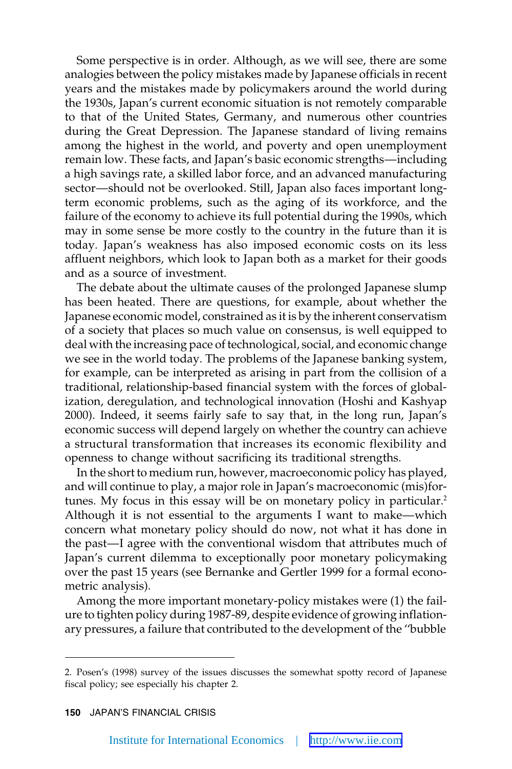Some perspective is in order. Although, as we will see, there are some analogies between the policy mistakes made by Japanese officials in recent years and the mistakes made by policymakers around the world during the 1930s, Japan's current economic situation is not remotely comparable to that of the United States, Germany, and numerous other countries during the Great Depression. The Japanese standard of living remains among the highest in the world, and poverty and open unemployment remain low. These facts, and Japan's basic economic strengths—including a high savings rate, a skilled labor force, and an advanced manufacturing sector—should not be overlooked. Still, Japan also faces important longterm economic problems, such as the aging of its workforce, and the failure of the economy to achieve its full potential during the 1990s, which may in some sense be more costly to the country in the future than it is today. Japan's weakness has also imposed economic costs on its less affluent neighbors, which look to Japan both as a market for their goods and as a source of investment.

The debate about the ultimate causes of the prolonged Japanese slump has been heated. There are questions, for example, about whether the Japanese economic model, constrained as it is by the inherent conservatism of a society that places so much value on consensus, is well equipped to deal with the increasing pace of technological, social, and economic change we see in the world today. The problems of the Japanese banking system, for example, can be interpreted as arising in part from the collision of a traditional, relationship-based financial system with the forces of globalization, deregulation, and technological innovation (Hoshi and Kashyap 2000). Indeed, it seems fairly safe to say that, in the long run, Japan's economic success will depend largely on whether the country can achieve a structural transformation that increases its economic flexibility and openness to change without sacrificing its traditional strengths.

In the short to medium run, however, macroeconomic policy has played, and will continue to play, a major role in Japan's macroeconomic (mis)fortunes. My focus in this essay will be on monetary policy in particular.<sup>2</sup> Although it is not essential to the arguments I want to make—which concern what monetary policy should do now, not what it has done in the past—I agree with the conventional wisdom that attributes much of Japan's current dilemma to exceptionally poor monetary policymaking over the past 15 years (see Bernanke and Gertler 1999 for a formal econometric analysis).

Among the more important monetary-policy mistakes were (1) the failure to tighten policy during 1987-89, despite evidence of growing inflationary pressures, a failure that contributed to the development of the ''bubble

**150** JAPAN'S FINANCIAL CRISIS

<sup>2.</sup> Posen's (1998) survey of the issues discusses the somewhat spotty record of Japanese fiscal policy; see especially his chapter 2.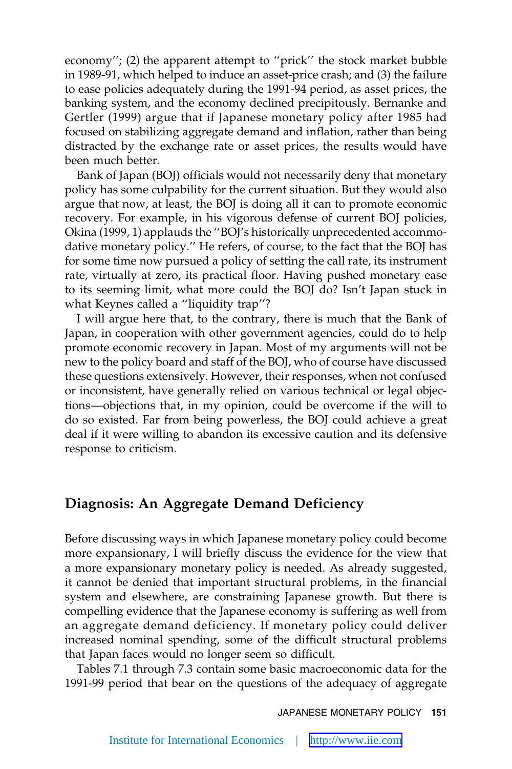economy''; (2) the apparent attempt to ''prick'' the stock market bubble in 1989-91, which helped to induce an asset-price crash; and (3) the failure to ease policies adequately during the 1991-94 period, as asset prices, the banking system, and the economy declined precipitously. Bernanke and Gertler (1999) argue that if Japanese monetary policy after 1985 had focused on stabilizing aggregate demand and inflation, rather than being distracted by the exchange rate or asset prices, the results would have been much better.

Bank of Japan (BOJ) officials would not necessarily deny that monetary policy has some culpability for the current situation. But they would also argue that now, at least, the BOJ is doing all it can to promote economic recovery. For example, in his vigorous defense of current BOJ policies, Okina (1999, 1) applauds the ''BOJ's historically unprecedented accommodative monetary policy.'' He refers, of course, to the fact that the BOJ has for some time now pursued a policy of setting the call rate, its instrument rate, virtually at zero, its practical floor. Having pushed monetary ease to its seeming limit, what more could the BOJ do? Isn't Japan stuck in what Keynes called a ''liquidity trap''?

I will argue here that, to the contrary, there is much that the Bank of Japan, in cooperation with other government agencies, could do to help promote economic recovery in Japan. Most of my arguments will not be new to the policy board and staff of the BOJ, who of course have discussed these questions extensively. However, their responses, when not confused or inconsistent, have generally relied on various technical or legal objections—objections that, in my opinion, could be overcome if the will to do so existed. Far from being powerless, the BOJ could achieve a great deal if it were willing to abandon its excessive caution and its defensive response to criticism.

## **Diagnosis: An Aggregate Demand Deficiency**

Before discussing ways in which Japanese monetary policy could become more expansionary, I will briefly discuss the evidence for the view that a more expansionary monetary policy is needed. As already suggested, it cannot be denied that important structural problems, in the financial system and elsewhere, are constraining Japanese growth. But there is compelling evidence that the Japanese economy is suffering as well from an aggregate demand deficiency. If monetary policy could deliver increased nominal spending, some of the difficult structural problems that Japan faces would no longer seem so difficult.

Tables 7.1 through 7.3 contain some basic macroeconomic data for the 1991-99 period that bear on the questions of the adequacy of aggregate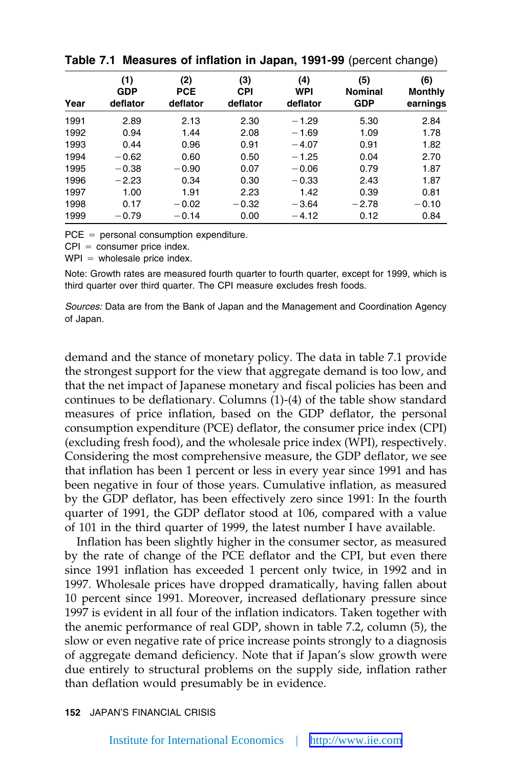| Year | (1)<br><b>GDP</b><br>deflator | (2)<br><b>PCE</b><br>deflator | (3)<br>CPI<br>deflator | (4)<br><b>WPI</b><br>deflator | (5)<br><b>Nominal</b><br><b>GDP</b> | (6)<br><b>Monthly</b><br>earnings |
|------|-------------------------------|-------------------------------|------------------------|-------------------------------|-------------------------------------|-----------------------------------|
| 1991 | 2.89                          | 2.13                          | 2.30                   | $-1.29$                       | 5.30                                | 2.84                              |
| 1992 | 0.94                          | 1.44                          | 2.08                   | $-1.69$                       | 1.09                                | 1.78                              |
| 1993 | 0.44                          | 0.96                          | 0.91                   | $-4.07$                       | 0.91                                | 1.82                              |
| 1994 | $-0.62$                       | 0.60                          | 0.50                   | $-1.25$                       | 0.04                                | 2.70                              |
| 1995 | $-0.38$                       | $-0.90$                       | 0.07                   | $-0.06$                       | 0.79                                | 1.87                              |
| 1996 | $-2.23$                       | 0.34                          | 0.30                   | $-0.33$                       | 2.43                                | 1.87                              |
| 1997 | 1.00                          | 1.91                          | 2.23                   | 1.42                          | 0.39                                | 0.81                              |
| 1998 | 0.17                          | $-0.02$                       | $-0.32$                | $-3.64$                       | $-2.78$                             | $-0.10$                           |
| 1999 | $-0.79$                       | $-0.14$                       | 0.00                   | $-4.12$                       | 0.12                                | 0.84                              |

**Table 7.1 Measures of inflation in Japan, 1991-99** (percent change)

 $PCE =$  personal consumption expenditure.

 $CPI = \text{consumer price index.}$ 

 $WPI =$  wholesale price index.

Note: Growth rates are measured fourth quarter to fourth quarter, except for 1999, which is third quarter over third quarter. The CPI measure excludes fresh foods.

*Sources:* Data are from the Bank of Japan and the Management and Coordination Agency of Japan.

demand and the stance of monetary policy. The data in table 7.1 provide the strongest support for the view that aggregate demand is too low, and that the net impact of Japanese monetary and fiscal policies has been and continues to be deflationary. Columns (1)-(4) of the table show standard measures of price inflation, based on the GDP deflator, the personal consumption expenditure (PCE) deflator, the consumer price index (CPI) (excluding fresh food), and the wholesale price index (WPI), respectively. Considering the most comprehensive measure, the GDP deflator, we see that inflation has been 1 percent or less in every year since 1991 and has been negative in four of those years. Cumulative inflation, as measured by the GDP deflator, has been effectively zero since 1991: In the fourth quarter of 1991, the GDP deflator stood at 106, compared with a value of 101 in the third quarter of 1999, the latest number I have available.

Inflation has been slightly higher in the consumer sector, as measured by the rate of change of the PCE deflator and the CPI, but even there since 1991 inflation has exceeded 1 percent only twice, in 1992 and in 1997. Wholesale prices have dropped dramatically, having fallen about 10 percent since 1991. Moreover, increased deflationary pressure since 1997 is evident in all four of the inflation indicators. Taken together with the anemic performance of real GDP, shown in table 7.2, column (5), the slow or even negative rate of price increase points strongly to a diagnosis of aggregate demand deficiency. Note that if Japan's slow growth were due entirely to structural problems on the supply side, inflation rather than deflation would presumably be in evidence.

**<sup>152</sup>** JAPAN'S FINANCIAL CRISIS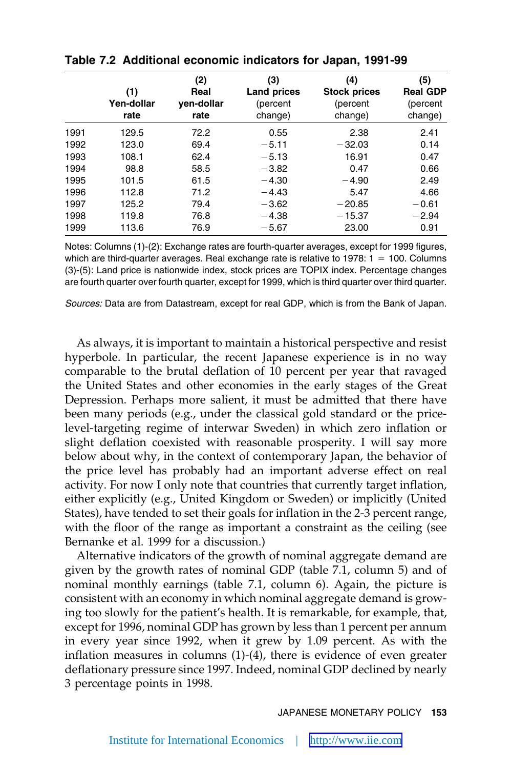|      | (1)<br>Yen-dollar<br>rate | (2)<br>Real<br>ven-dollar<br>rate | (3)<br><b>Land prices</b><br>(percent<br>change) | (4)<br><b>Stock prices</b><br>(percent<br>change) | (5)<br><b>Real GDP</b><br>(percent<br>change) |
|------|---------------------------|-----------------------------------|--------------------------------------------------|---------------------------------------------------|-----------------------------------------------|
| 1991 | 129.5                     | 72.2                              | 0.55                                             | 2.38                                              | 2.41                                          |
| 1992 | 123.0                     | 69.4                              | $-5.11$                                          | $-32.03$                                          | 0.14                                          |
| 1993 | 108.1                     | 62.4                              | $-5.13$                                          | 16.91                                             | 0.47                                          |
| 1994 | 98.8                      | 58.5                              | $-3.82$                                          | 0.47                                              | 0.66                                          |
| 1995 | 101.5                     | 61.5                              | $-4.30$                                          | $-4.90$                                           | 2.49                                          |
| 1996 | 112.8                     | 71.2                              | $-4.43$                                          | 5.47                                              | 4.66                                          |
| 1997 | 125.2                     | 79.4                              | $-3.62$                                          | $-20.85$                                          | $-0.61$                                       |
| 1998 | 119.8                     | 76.8                              | $-4.38$                                          | $-15.37$                                          | $-2.94$                                       |
| 1999 | 113.6                     | 76.9                              | $-5.67$                                          | 23.00                                             | 0.91                                          |

| Table 7.2 Additional economic indicators for Japan, 1991-99 |  |  |  |  |  |  |  |
|-------------------------------------------------------------|--|--|--|--|--|--|--|
|-------------------------------------------------------------|--|--|--|--|--|--|--|

Notes: Columns (1)-(2): Exchange rates are fourth-quarter averages, except for 1999 figures, which are third-quarter averages. Real exchange rate is relative to  $1978: 1 = 100$ . Columns (3)-(5): Land price is nationwide index, stock prices are TOPIX index. Percentage changes are fourth quarter over fourth quarter, except for 1999, which is third quarter over third quarter.

*Sources:* Data are from Datastream, except for real GDP, which is from the Bank of Japan.

As always, it is important to maintain a historical perspective and resist hyperbole. In particular, the recent Japanese experience is in no way comparable to the brutal deflation of 10 percent per year that ravaged the United States and other economies in the early stages of the Great Depression. Perhaps more salient, it must be admitted that there have been many periods (e.g., under the classical gold standard or the pricelevel-targeting regime of interwar Sweden) in which zero inflation or slight deflation coexisted with reasonable prosperity. I will say more below about why, in the context of contemporary Japan, the behavior of the price level has probably had an important adverse effect on real activity. For now I only note that countries that currently target inflation, either explicitly (e.g., United Kingdom or Sweden) or implicitly (United States), have tended to set their goals for inflation in the 2-3 percent range, with the floor of the range as important a constraint as the ceiling (see Bernanke et al. 1999 for a discussion.)

Alternative indicators of the growth of nominal aggregate demand are given by the growth rates of nominal GDP (table 7.1, column 5) and of nominal monthly earnings (table 7.1, column 6). Again, the picture is consistent with an economy in which nominal aggregate demand is growing too slowly for the patient's health. It is remarkable, for example, that, except for 1996, nominal GDP has grown by less than 1 percent per annum in every year since 1992, when it grew by 1.09 percent. As with the inflation measures in columns (1)-(4), there is evidence of even greater deflationary pressure since 1997. Indeed, nominal GDP declined by nearly 3 percentage points in 1998.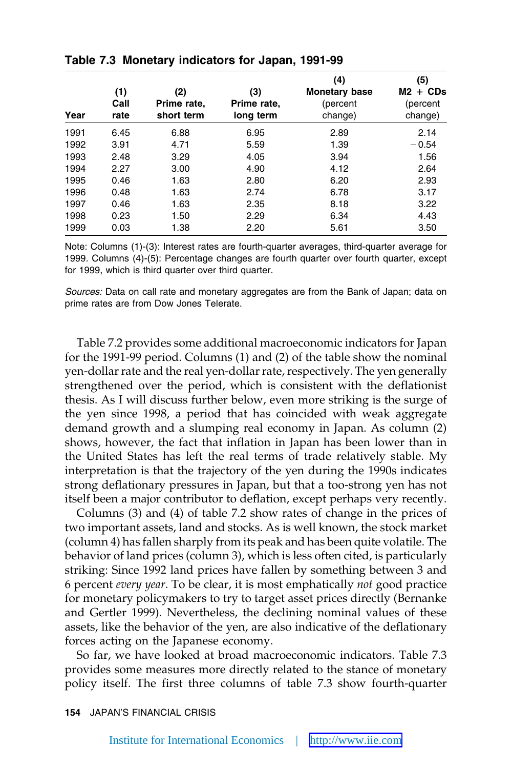| Year | (1)<br>Call<br>rate | (2)<br>Prime rate,<br>short term | (3)<br>Prime rate,<br>long term | (4)<br><b>Monetary base</b><br>(percent<br>change) | (5)<br>$M2 + CDs$<br>(percent<br>change) |
|------|---------------------|----------------------------------|---------------------------------|----------------------------------------------------|------------------------------------------|
| 1991 | 6.45                | 6.88                             | 6.95                            | 2.89                                               | 2.14                                     |
| 1992 | 3.91                | 4.71                             | 5.59                            | 1.39                                               | $-0.54$                                  |
| 1993 | 2.48                | 3.29                             | 4.05                            | 3.94                                               | 1.56                                     |
| 1994 | 2.27                | 3.00                             | 4.90                            | 4.12                                               | 2.64                                     |
| 1995 | 0.46                | 1.63                             | 2.80                            | 6.20                                               | 2.93                                     |
| 1996 | 0.48                | 1.63                             | 2.74                            | 6.78                                               | 3.17                                     |
| 1997 | 0.46                | 1.63                             | 2.35                            | 8.18                                               | 3.22                                     |
| 1998 | 0.23                | 1.50                             | 2.29                            | 6.34                                               | 4.43                                     |
| 1999 | 0.03                | 1.38                             | 2.20                            | 5.61                                               | 3.50                                     |

**Table 7.3 Monetary indicators for Japan, 1991-99**

Note: Columns (1)-(3): Interest rates are fourth-quarter averages, third-quarter average for 1999. Columns (4)-(5): Percentage changes are fourth quarter over fourth quarter, except for 1999, which is third quarter over third quarter.

*Sources:* Data on call rate and monetary aggregates are from the Bank of Japan; data on prime rates are from Dow Jones Telerate.

Table 7.2 provides some additional macroeconomic indicators for Japan for the 1991-99 period. Columns (1) and (2) of the table show the nominal yen-dollar rate and the real yen-dollar rate, respectively. The yen generally strengthened over the period, which is consistent with the deflationist thesis. As I will discuss further below, even more striking is the surge of the yen since 1998, a period that has coincided with weak aggregate demand growth and a slumping real economy in Japan. As column (2) shows, however, the fact that inflation in Japan has been lower than in the United States has left the real terms of trade relatively stable. My interpretation is that the trajectory of the yen during the 1990s indicates strong deflationary pressures in Japan, but that a too-strong yen has not itself been a major contributor to deflation, except perhaps very recently.

Columns (3) and (4) of table 7.2 show rates of change in the prices of two important assets, land and stocks. As is well known, the stock market (column 4) has fallen sharply from its peak and has been quite volatile. The behavior of land prices (column 3), which is less often cited, is particularly striking: Since 1992 land prices have fallen by something between 3 and 6 percent *every year*. To be clear, it is most emphatically *not* good practice for monetary policymakers to try to target asset prices directly (Bernanke and Gertler 1999). Nevertheless, the declining nominal values of these assets, like the behavior of the yen, are also indicative of the deflationary forces acting on the Japanese economy.

So far, we have looked at broad macroeconomic indicators. Table 7.3 provides some measures more directly related to the stance of monetary policy itself. The first three columns of table 7.3 show fourth-quarter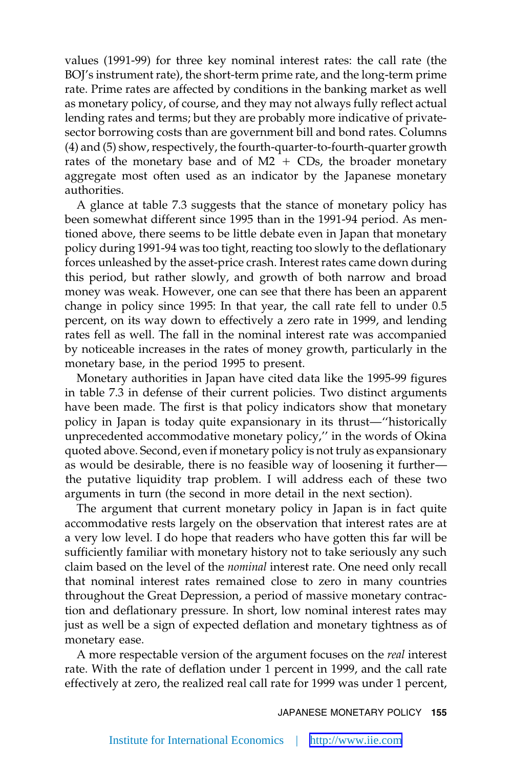values (1991-99) for three key nominal interest rates: the call rate (the BOJ's instrument rate), the short-term prime rate, and the long-term prime rate. Prime rates are affected by conditions in the banking market as well as monetary policy, of course, and they may not always fully reflect actual lending rates and terms; but they are probably more indicative of privatesector borrowing costs than are government bill and bond rates. Columns (4) and (5) show, respectively, the fourth-quarter-to-fourth-quarter growth rates of the monetary base and of  $M2 + CDs$ , the broader monetary aggregate most often used as an indicator by the Japanese monetary authorities.

A glance at table 7.3 suggests that the stance of monetary policy has been somewhat different since 1995 than in the 1991-94 period. As mentioned above, there seems to be little debate even in Japan that monetary policy during 1991-94 was too tight, reacting too slowly to the deflationary forces unleashed by the asset-price crash. Interest rates came down during this period, but rather slowly, and growth of both narrow and broad money was weak. However, one can see that there has been an apparent change in policy since 1995: In that year, the call rate fell to under 0.5 percent, on its way down to effectively a zero rate in 1999, and lending rates fell as well. The fall in the nominal interest rate was accompanied by noticeable increases in the rates of money growth, particularly in the monetary base, in the period 1995 to present.

Monetary authorities in Japan have cited data like the 1995-99 figures in table 7.3 in defense of their current policies. Two distinct arguments have been made. The first is that policy indicators show that monetary policy in Japan is today quite expansionary in its thrust—''historically unprecedented accommodative monetary policy,'' in the words of Okina quoted above. Second, even if monetary policy is not truly as expansionary as would be desirable, there is no feasible way of loosening it further the putative liquidity trap problem. I will address each of these two arguments in turn (the second in more detail in the next section).

The argument that current monetary policy in Japan is in fact quite accommodative rests largely on the observation that interest rates are at a very low level. I do hope that readers who have gotten this far will be sufficiently familiar with monetary history not to take seriously any such claim based on the level of the *nominal* interest rate. One need only recall that nominal interest rates remained close to zero in many countries throughout the Great Depression, a period of massive monetary contraction and deflationary pressure. In short, low nominal interest rates may just as well be a sign of expected deflation and monetary tightness as of monetary ease.

A more respectable version of the argument focuses on the *real* interest rate. With the rate of deflation under 1 percent in 1999, and the call rate effectively at zero, the realized real call rate for 1999 was under 1 percent,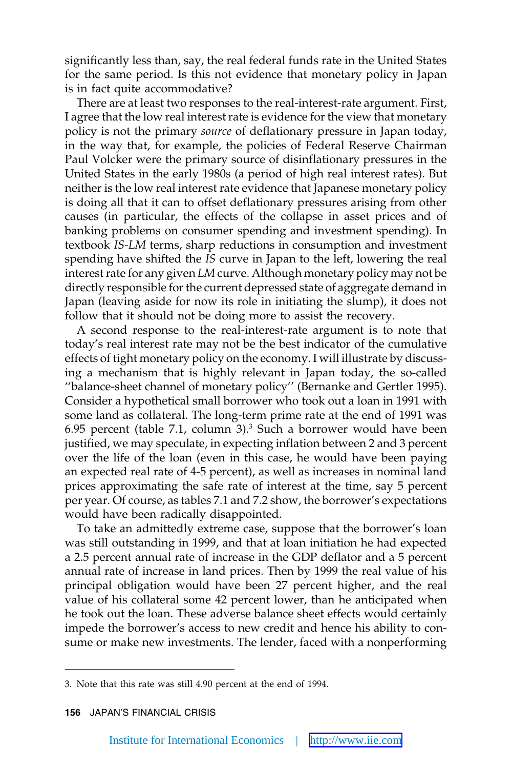significantly less than, say, the real federal funds rate in the United States for the same period. Is this not evidence that monetary policy in Japan is in fact quite accommodative?

There are at least two responses to the real-interest-rate argument. First, I agree that the low real interest rate is evidence for the view that monetary policy is not the primary *source* of deflationary pressure in Japan today, in the way that, for example, the policies of Federal Reserve Chairman Paul Volcker were the primary source of disinflationary pressures in the United States in the early 1980s (a period of high real interest rates). But neither is the low real interest rate evidence that Japanese monetary policy is doing all that it can to offset deflationary pressures arising from other causes (in particular, the effects of the collapse in asset prices and of banking problems on consumer spending and investment spending). In textbook *IS-LM* terms, sharp reductions in consumption and investment spending have shifted the *IS* curve in Japan to the left, lowering the real interest rate for any given *LM* curve. Although monetary policy may not be directly responsible for the current depressed state of aggregate demand in Japan (leaving aside for now its role in initiating the slump), it does not follow that it should not be doing more to assist the recovery.

A second response to the real-interest-rate argument is to note that today's real interest rate may not be the best indicator of the cumulative effects of tight monetary policy on the economy. I will illustrate by discussing a mechanism that is highly relevant in Japan today, the so-called ''balance-sheet channel of monetary policy'' (Bernanke and Gertler 1995). Consider a hypothetical small borrower who took out a loan in 1991 with some land as collateral. The long-term prime rate at the end of 1991 was 6.95 percent (table 7.1, column  $3$ ).<sup>3</sup> Such a borrower would have been justified, we may speculate, in expecting inflation between 2 and 3 percent over the life of the loan (even in this case, he would have been paying an expected real rate of 4-5 percent), as well as increases in nominal land prices approximating the safe rate of interest at the time, say 5 percent per year. Of course, as tables 7.1 and 7.2 show, the borrower's expectations would have been radically disappointed.

To take an admittedly extreme case, suppose that the borrower's loan was still outstanding in 1999, and that at loan initiation he had expected a 2.5 percent annual rate of increase in the GDP deflator and a 5 percent annual rate of increase in land prices. Then by 1999 the real value of his principal obligation would have been 27 percent higher, and the real value of his collateral some 42 percent lower, than he anticipated when he took out the loan. These adverse balance sheet effects would certainly impede the borrower's access to new credit and hence his ability to consume or make new investments. The lender, faced with a nonperforming

<sup>3.</sup> Note that this rate was still 4.90 percent at the end of 1994.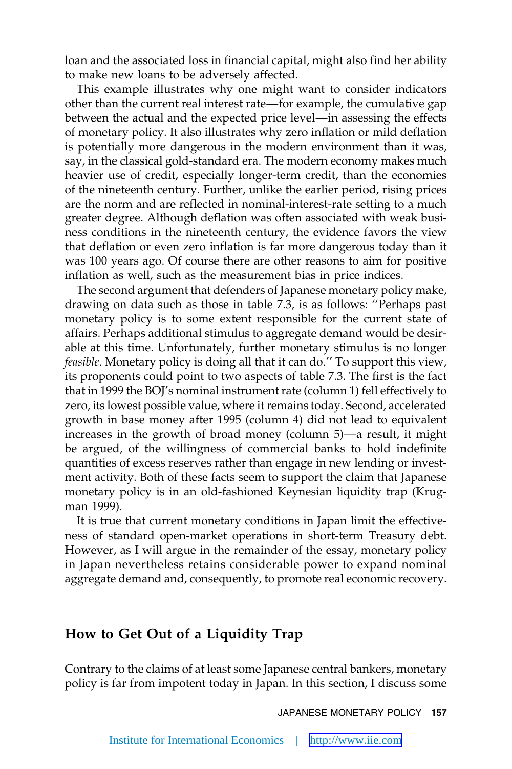loan and the associated loss in financial capital, might also find her ability to make new loans to be adversely affected.

This example illustrates why one might want to consider indicators other than the current real interest rate—for example, the cumulative gap between the actual and the expected price level—in assessing the effects of monetary policy. It also illustrates why zero inflation or mild deflation is potentially more dangerous in the modern environment than it was, say, in the classical gold-standard era. The modern economy makes much heavier use of credit, especially longer-term credit, than the economies of the nineteenth century. Further, unlike the earlier period, rising prices are the norm and are reflected in nominal-interest-rate setting to a much greater degree. Although deflation was often associated with weak business conditions in the nineteenth century, the evidence favors the view that deflation or even zero inflation is far more dangerous today than it was 100 years ago. Of course there are other reasons to aim for positive inflation as well, such as the measurement bias in price indices.

The second argument that defenders of Japanese monetary policy make, drawing on data such as those in table 7.3, is as follows: ''Perhaps past monetary policy is to some extent responsible for the current state of affairs. Perhaps additional stimulus to aggregate demand would be desirable at this time. Unfortunately, further monetary stimulus is no longer *feasible*. Monetary policy is doing all that it can do.'' To support this view, its proponents could point to two aspects of table 7.3. The first is the fact that in 1999 the BOJ's nominal instrument rate (column 1) fell effectively to zero, its lowest possible value, where it remains today. Second, accelerated growth in base money after 1995 (column 4) did not lead to equivalent increases in the growth of broad money (column 5)—a result, it might be argued, of the willingness of commercial banks to hold indefinite quantities of excess reserves rather than engage in new lending or investment activity. Both of these facts seem to support the claim that Japanese monetary policy is in an old-fashioned Keynesian liquidity trap (Krugman 1999).

It is true that current monetary conditions in Japan limit the effectiveness of standard open-market operations in short-term Treasury debt. However, as I will argue in the remainder of the essay, monetary policy in Japan nevertheless retains considerable power to expand nominal aggregate demand and, consequently, to promote real economic recovery.

#### **How to Get Out of a Liquidity Trap**

Contrary to the claims of at least some Japanese central bankers, monetary policy is far from impotent today in Japan. In this section, I discuss some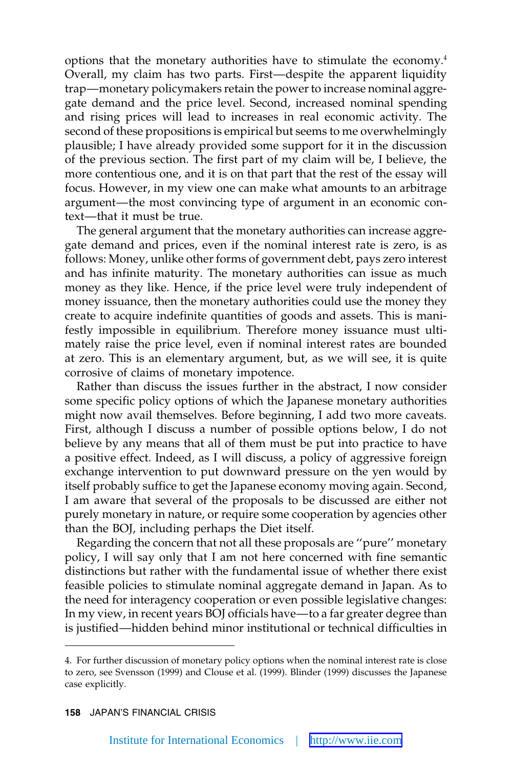options that the monetary authorities have to stimulate the economy.4 Overall, my claim has two parts. First—despite the apparent liquidity trap—monetary policymakers retain the power to increase nominal aggregate demand and the price level. Second, increased nominal spending and rising prices will lead to increases in real economic activity. The second of these propositions is empirical but seems to me overwhelmingly plausible; I have already provided some support for it in the discussion of the previous section. The first part of my claim will be, I believe, the more contentious one, and it is on that part that the rest of the essay will focus. However, in my view one can make what amounts to an arbitrage argument—the most convincing type of argument in an economic context—that it must be true.

The general argument that the monetary authorities can increase aggregate demand and prices, even if the nominal interest rate is zero, is as follows: Money, unlike other forms of government debt, pays zero interest and has infinite maturity. The monetary authorities can issue as much money as they like. Hence, if the price level were truly independent of money issuance, then the monetary authorities could use the money they create to acquire indefinite quantities of goods and assets. This is manifestly impossible in equilibrium. Therefore money issuance must ultimately raise the price level, even if nominal interest rates are bounded at zero. This is an elementary argument, but, as we will see, it is quite corrosive of claims of monetary impotence.

Rather than discuss the issues further in the abstract, I now consider some specific policy options of which the Japanese monetary authorities might now avail themselves. Before beginning, I add two more caveats. First, although I discuss a number of possible options below, I do not believe by any means that all of them must be put into practice to have a positive effect. Indeed, as I will discuss, a policy of aggressive foreign exchange intervention to put downward pressure on the yen would by itself probably suffice to get the Japanese economy moving again. Second, I am aware that several of the proposals to be discussed are either not purely monetary in nature, or require some cooperation by agencies other than the BOJ, including perhaps the Diet itself.

Regarding the concern that not all these proposals are ''pure'' monetary policy, I will say only that I am not here concerned with fine semantic distinctions but rather with the fundamental issue of whether there exist feasible policies to stimulate nominal aggregate demand in Japan. As to the need for interagency cooperation or even possible legislative changes: In my view, in recent years BOJ officials have—to a far greater degree than is justified—hidden behind minor institutional or technical difficulties in

<sup>4.</sup> For further discussion of monetary policy options when the nominal interest rate is close to zero, see Svensson (1999) and Clouse et al. (1999). Blinder (1999) discusses the Japanese case explicitly.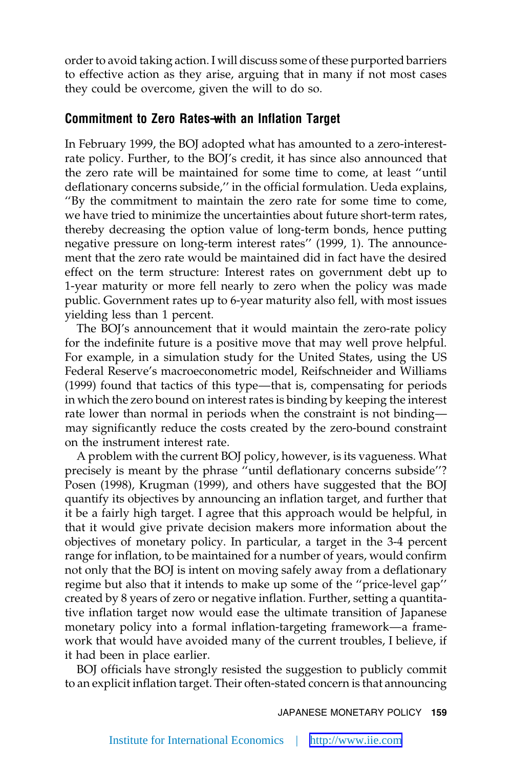order to avoid taking action. I will discuss some of these purported barriers to effective action as they arise, arguing that in many if not most cases they could be overcome, given the will to do so.

#### **Commitment to Zero Rates—with an Inflation Target**

In February 1999, the BOJ adopted what has amounted to a zero-interestrate policy. Further, to the BOJ's credit, it has since also announced that the zero rate will be maintained for some time to come, at least ''until deflationary concerns subside,'' in the official formulation. Ueda explains, ''By the commitment to maintain the zero rate for some time to come, we have tried to minimize the uncertainties about future short-term rates, thereby decreasing the option value of long-term bonds, hence putting negative pressure on long-term interest rates'' (1999, 1). The announcement that the zero rate would be maintained did in fact have the desired effect on the term structure: Interest rates on government debt up to 1-year maturity or more fell nearly to zero when the policy was made public. Government rates up to 6-year maturity also fell, with most issues yielding less than 1 percent.

The BOJ's announcement that it would maintain the zero-rate policy for the indefinite future is a positive move that may well prove helpful. For example, in a simulation study for the United States, using the US Federal Reserve's macroeconometric model, Reifschneider and Williams (1999) found that tactics of this type—that is, compensating for periods in which the zero bound on interest rates is binding by keeping the interest rate lower than normal in periods when the constraint is not binding may significantly reduce the costs created by the zero-bound constraint on the instrument interest rate.

A problem with the current BOJ policy, however, is its vagueness. What precisely is meant by the phrase ''until deflationary concerns subside''? Posen (1998), Krugman (1999), and others have suggested that the BOJ quantify its objectives by announcing an inflation target, and further that it be a fairly high target. I agree that this approach would be helpful, in that it would give private decision makers more information about the objectives of monetary policy. In particular, a target in the 3-4 percent range for inflation, to be maintained for a number of years, would confirm not only that the BOJ is intent on moving safely away from a deflationary regime but also that it intends to make up some of the ''price-level gap'' created by 8 years of zero or negative inflation. Further, setting a quantitative inflation target now would ease the ultimate transition of Japanese monetary policy into a formal inflation-targeting framework—a framework that would have avoided many of the current troubles, I believe, if it had been in place earlier.

BOJ officials have strongly resisted the suggestion to publicly commit to an explicit inflation target. Their often-stated concern is that announcing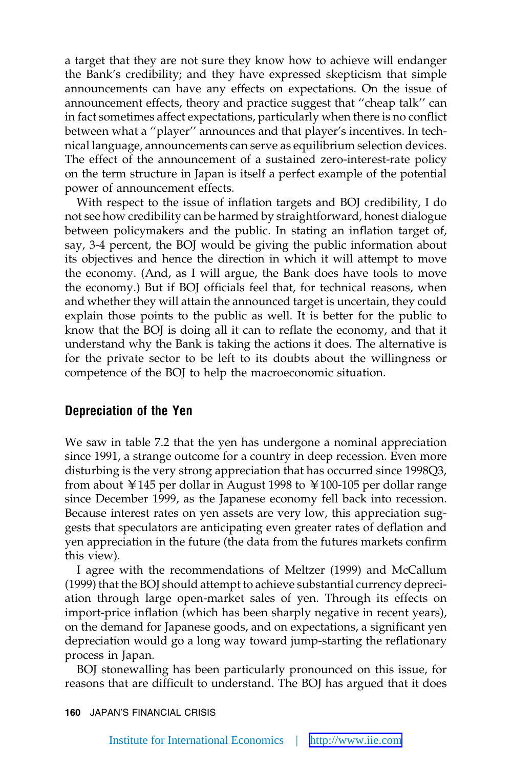a target that they are not sure they know how to achieve will endanger the Bank's credibility; and they have expressed skepticism that simple announcements can have any effects on expectations. On the issue of announcement effects, theory and practice suggest that ''cheap talk'' can in fact sometimes affect expectations, particularly when there is no conflict between what a ''player'' announces and that player's incentives. In technical language, announcements can serve as equilibrium selection devices. The effect of the announcement of a sustained zero-interest-rate policy on the term structure in Japan is itself a perfect example of the potential power of announcement effects.

With respect to the issue of inflation targets and BOJ credibility, I do not see how credibility can be harmed by straightforward, honest dialogue between policymakers and the public. In stating an inflation target of, say, 3-4 percent, the BOJ would be giving the public information about its objectives and hence the direction in which it will attempt to move the economy. (And, as I will argue, the Bank does have tools to move the economy.) But if BOJ officials feel that, for technical reasons, when and whether they will attain the announced target is uncertain, they could explain those points to the public as well. It is better for the public to know that the BOJ is doing all it can to reflate the economy, and that it understand why the Bank is taking the actions it does. The alternative is for the private sector to be left to its doubts about the willingness or competence of the BOJ to help the macroeconomic situation.

#### **Depreciation of the Yen**

We saw in table 7.2 that the yen has undergone a nominal appreciation since 1991, a strange outcome for a country in deep recession. Even more disturbing is the very strong appreciation that has occurred since 1998Q3, from about ¥145 per dollar in August 1998 to ¥100-105 per dollar range since December 1999, as the Japanese economy fell back into recession. Because interest rates on yen assets are very low, this appreciation suggests that speculators are anticipating even greater rates of deflation and yen appreciation in the future (the data from the futures markets confirm this view).

I agree with the recommendations of Meltzer (1999) and McCallum (1999) that the BOJ should attempt to achieve substantial currency depreciation through large open-market sales of yen. Through its effects on import-price inflation (which has been sharply negative in recent years), on the demand for Japanese goods, and on expectations, a significant yen depreciation would go a long way toward jump-starting the reflationary process in Japan.

BOJ stonewalling has been particularly pronounced on this issue, for reasons that are difficult to understand. The BOJ has argued that it does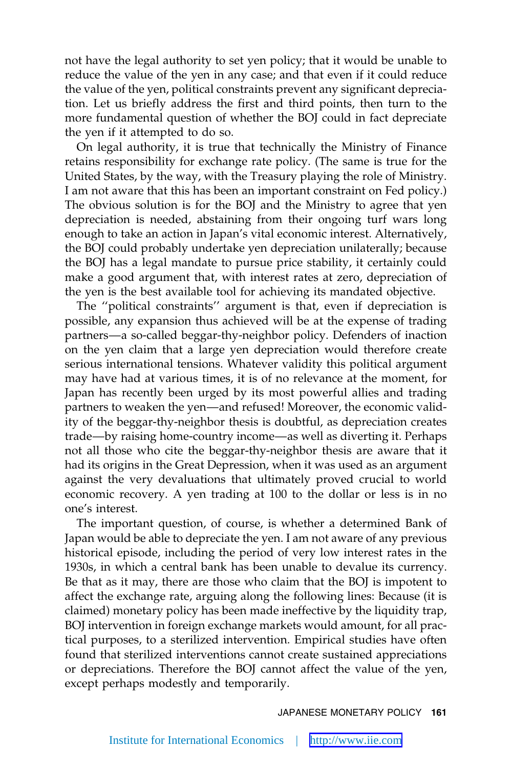not have the legal authority to set yen policy; that it would be unable to reduce the value of the yen in any case; and that even if it could reduce the value of the yen, political constraints prevent any significant depreciation. Let us briefly address the first and third points, then turn to the more fundamental question of whether the BOJ could in fact depreciate the yen if it attempted to do so.

On legal authority, it is true that technically the Ministry of Finance retains responsibility for exchange rate policy. (The same is true for the United States, by the way, with the Treasury playing the role of Ministry. I am not aware that this has been an important constraint on Fed policy.) The obvious solution is for the BOJ and the Ministry to agree that yen depreciation is needed, abstaining from their ongoing turf wars long enough to take an action in Japan's vital economic interest. Alternatively, the BOJ could probably undertake yen depreciation unilaterally; because the BOJ has a legal mandate to pursue price stability, it certainly could make a good argument that, with interest rates at zero, depreciation of the yen is the best available tool for achieving its mandated objective.

The ''political constraints'' argument is that, even if depreciation is possible, any expansion thus achieved will be at the expense of trading partners—a so-called beggar-thy-neighbor policy. Defenders of inaction on the yen claim that a large yen depreciation would therefore create serious international tensions. Whatever validity this political argument may have had at various times, it is of no relevance at the moment, for Japan has recently been urged by its most powerful allies and trading partners to weaken the yen—and refused! Moreover, the economic validity of the beggar-thy-neighbor thesis is doubtful, as depreciation creates trade—by raising home-country income—as well as diverting it. Perhaps not all those who cite the beggar-thy-neighbor thesis are aware that it had its origins in the Great Depression, when it was used as an argument against the very devaluations that ultimately proved crucial to world economic recovery. A yen trading at 100 to the dollar or less is in no one's interest.

The important question, of course, is whether a determined Bank of Japan would be able to depreciate the yen. I am not aware of any previous historical episode, including the period of very low interest rates in the 1930s, in which a central bank has been unable to devalue its currency. Be that as it may, there are those who claim that the BOJ is impotent to affect the exchange rate, arguing along the following lines: Because (it is claimed) monetary policy has been made ineffective by the liquidity trap, BOJ intervention in foreign exchange markets would amount, for all practical purposes, to a sterilized intervention. Empirical studies have often found that sterilized interventions cannot create sustained appreciations or depreciations. Therefore the BOJ cannot affect the value of the yen, except perhaps modestly and temporarily.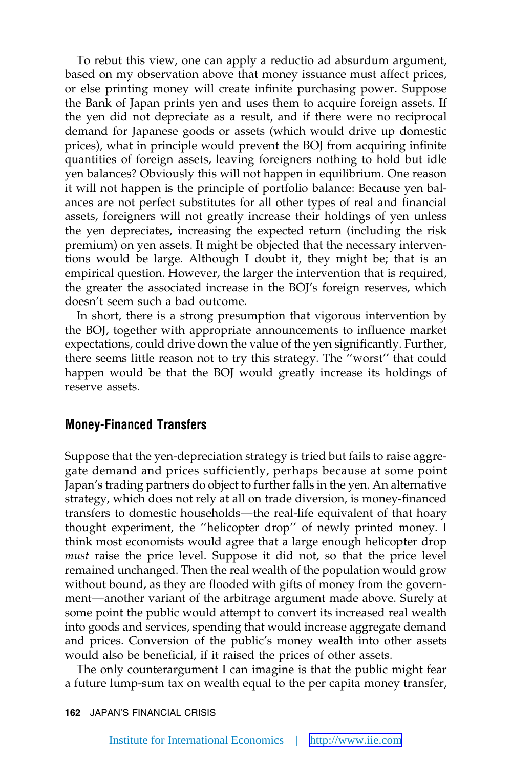To rebut this view, one can apply a reductio ad absurdum argument, based on my observation above that money issuance must affect prices, or else printing money will create infinite purchasing power. Suppose the Bank of Japan prints yen and uses them to acquire foreign assets. If the yen did not depreciate as a result, and if there were no reciprocal demand for Japanese goods or assets (which would drive up domestic prices), what in principle would prevent the BOJ from acquiring infinite quantities of foreign assets, leaving foreigners nothing to hold but idle yen balances? Obviously this will not happen in equilibrium. One reason it will not happen is the principle of portfolio balance: Because yen balances are not perfect substitutes for all other types of real and financial assets, foreigners will not greatly increase their holdings of yen unless the yen depreciates, increasing the expected return (including the risk premium) on yen assets. It might be objected that the necessary interventions would be large. Although I doubt it, they might be; that is an empirical question. However, the larger the intervention that is required, the greater the associated increase in the BOJ's foreign reserves, which doesn't seem such a bad outcome.

In short, there is a strong presumption that vigorous intervention by the BOJ, together with appropriate announcements to influence market expectations, could drive down the value of the yen significantly. Further, there seems little reason not to try this strategy. The ''worst'' that could happen would be that the BOJ would greatly increase its holdings of reserve assets.

#### **Money-Financed Transfers**

Suppose that the yen-depreciation strategy is tried but fails to raise aggregate demand and prices sufficiently, perhaps because at some point Japan's trading partners do object to further falls in the yen. An alternative strategy, which does not rely at all on trade diversion, is money-financed transfers to domestic households—the real-life equivalent of that hoary thought experiment, the ''helicopter drop'' of newly printed money. I think most economists would agree that a large enough helicopter drop *must* raise the price level. Suppose it did not, so that the price level remained unchanged. Then the real wealth of the population would grow without bound, as they are flooded with gifts of money from the government—another variant of the arbitrage argument made above. Surely at some point the public would attempt to convert its increased real wealth into goods and services, spending that would increase aggregate demand and prices. Conversion of the public's money wealth into other assets would also be beneficial, if it raised the prices of other assets.

The only counterargument I can imagine is that the public might fear a future lump-sum tax on wealth equal to the per capita money transfer,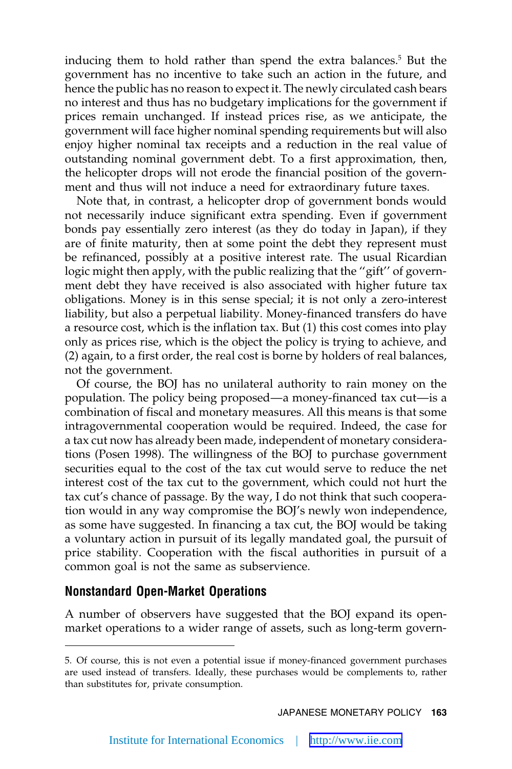inducing them to hold rather than spend the extra balances.<sup>5</sup> But the government has no incentive to take such an action in the future, and hence the public has no reason to expect it. The newly circulated cash bears no interest and thus has no budgetary implications for the government if prices remain unchanged. If instead prices rise, as we anticipate, the government will face higher nominal spending requirements but will also enjoy higher nominal tax receipts and a reduction in the real value of outstanding nominal government debt. To a first approximation, then, the helicopter drops will not erode the financial position of the government and thus will not induce a need for extraordinary future taxes.

Note that, in contrast, a helicopter drop of government bonds would not necessarily induce significant extra spending. Even if government bonds pay essentially zero interest (as they do today in Japan), if they are of finite maturity, then at some point the debt they represent must be refinanced, possibly at a positive interest rate. The usual Ricardian logic might then apply, with the public realizing that the "gift" of government debt they have received is also associated with higher future tax obligations. Money is in this sense special; it is not only a zero-interest liability, but also a perpetual liability. Money-financed transfers do have a resource cost, which is the inflation tax. But (1) this cost comes into play only as prices rise, which is the object the policy is trying to achieve, and (2) again, to a first order, the real cost is borne by holders of real balances, not the government.

Of course, the BOJ has no unilateral authority to rain money on the population. The policy being proposed—a money-financed tax cut—is a combination of fiscal and monetary measures. All this means is that some intragovernmental cooperation would be required. Indeed, the case for a tax cut now has already been made, independent of monetary considerations (Posen 1998). The willingness of the BOJ to purchase government securities equal to the cost of the tax cut would serve to reduce the net interest cost of the tax cut to the government, which could not hurt the tax cut's chance of passage. By the way, I do not think that such cooperation would in any way compromise the BOJ's newly won independence, as some have suggested. In financing a tax cut, the BOJ would be taking a voluntary action in pursuit of its legally mandated goal, the pursuit of price stability. Cooperation with the fiscal authorities in pursuit of a common goal is not the same as subservience.

#### **Nonstandard Open-Market Operations**

A number of observers have suggested that the BOJ expand its openmarket operations to a wider range of assets, such as long-term govern-

<sup>5.</sup> Of course, this is not even a potential issue if money-financed government purchases are used instead of transfers. Ideally, these purchases would be complements to, rather than substitutes for, private consumption.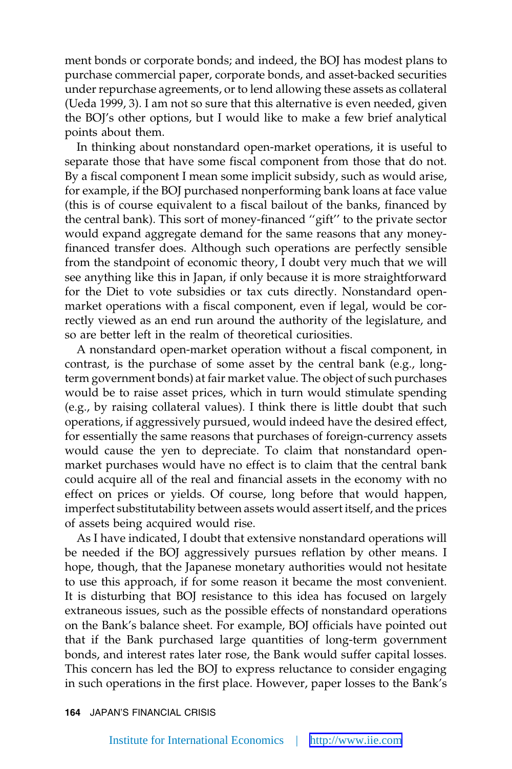ment bonds or corporate bonds; and indeed, the BOJ has modest plans to purchase commercial paper, corporate bonds, and asset-backed securities under repurchase agreements, or to lend allowing these assets as collateral (Ueda 1999, 3). I am not so sure that this alternative is even needed, given the BOJ's other options, but I would like to make a few brief analytical points about them.

In thinking about nonstandard open-market operations, it is useful to separate those that have some fiscal component from those that do not. By a fiscal component I mean some implicit subsidy, such as would arise, for example, if the BOJ purchased nonperforming bank loans at face value (this is of course equivalent to a fiscal bailout of the banks, financed by the central bank). This sort of money-financed ''gift'' to the private sector would expand aggregate demand for the same reasons that any moneyfinanced transfer does. Although such operations are perfectly sensible from the standpoint of economic theory, I doubt very much that we will see anything like this in Japan, if only because it is more straightforward for the Diet to vote subsidies or tax cuts directly. Nonstandard openmarket operations with a fiscal component, even if legal, would be correctly viewed as an end run around the authority of the legislature, and so are better left in the realm of theoretical curiosities.

A nonstandard open-market operation without a fiscal component, in contrast, is the purchase of some asset by the central bank (e.g., longterm government bonds) at fair market value. The object of such purchases would be to raise asset prices, which in turn would stimulate spending (e.g., by raising collateral values). I think there is little doubt that such operations, if aggressively pursued, would indeed have the desired effect, for essentially the same reasons that purchases of foreign-currency assets would cause the yen to depreciate. To claim that nonstandard openmarket purchases would have no effect is to claim that the central bank could acquire all of the real and financial assets in the economy with no effect on prices or yields. Of course, long before that would happen, imperfect substitutability between assets would assert itself, and the prices of assets being acquired would rise.

As I have indicated, I doubt that extensive nonstandard operations will be needed if the BOJ aggressively pursues reflation by other means. I hope, though, that the Japanese monetary authorities would not hesitate to use this approach, if for some reason it became the most convenient. It is disturbing that BOJ resistance to this idea has focused on largely extraneous issues, such as the possible effects of nonstandard operations on the Bank's balance sheet. For example, BOJ officials have pointed out that if the Bank purchased large quantities of long-term government bonds, and interest rates later rose, the Bank would suffer capital losses. This concern has led the BOJ to express reluctance to consider engaging in such operations in the first place. However, paper losses to the Bank's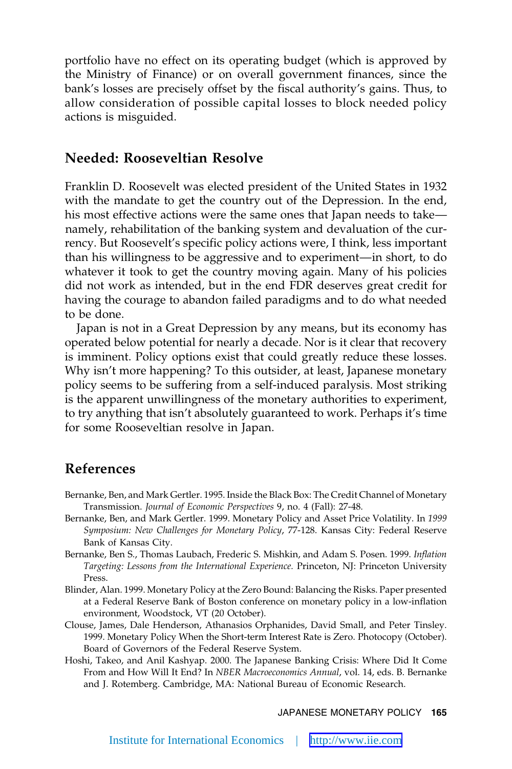portfolio have no effect on its operating budget (which is approved by the Ministry of Finance) or on overall government finances, since the bank's losses are precisely offset by the fiscal authority's gains. Thus, to allow consideration of possible capital losses to block needed policy actions is misguided.

#### **Needed: Rooseveltian Resolve**

Franklin D. Roosevelt was elected president of the United States in 1932 with the mandate to get the country out of the Depression. In the end, his most effective actions were the same ones that Japan needs to take namely, rehabilitation of the banking system and devaluation of the currency. But Roosevelt's specific policy actions were, I think, less important than his willingness to be aggressive and to experiment—in short, to do whatever it took to get the country moving again. Many of his policies did not work as intended, but in the end FDR deserves great credit for having the courage to abandon failed paradigms and to do what needed to be done.

Japan is not in a Great Depression by any means, but its economy has operated below potential for nearly a decade. Nor is it clear that recovery is imminent. Policy options exist that could greatly reduce these losses. Why isn't more happening? To this outsider, at least, Japanese monetary policy seems to be suffering from a self-induced paralysis. Most striking is the apparent unwillingness of the monetary authorities to experiment, to try anything that isn't absolutely guaranteed to work. Perhaps it's time for some Rooseveltian resolve in Japan.

## **References**

- Bernanke, Ben, and Mark Gertler. 1995. Inside the Black Box: The Credit Channel of Monetary Transmission. *Journal of Economic Perspectives* 9, no. 4 (Fall): 27-48.
- Bernanke, Ben, and Mark Gertler. 1999. Monetary Policy and Asset Price Volatility. In *1999 Symposium: New Challenges for Monetary Policy*, 77-128. Kansas City: Federal Reserve Bank of Kansas City.
- Bernanke, Ben S., Thomas Laubach, Frederic S. Mishkin, and Adam S. Posen. 1999. *Inflation Targeting: Lessons from the International Experience.* Princeton, NJ: Princeton University Press.
- Blinder, Alan. 1999. Monetary Policy at the Zero Bound: Balancing the Risks. Paper presented at a Federal Reserve Bank of Boston conference on monetary policy in a low-inflation environment, Woodstock, VT (20 October).
- Clouse, James, Dale Henderson, Athanasios Orphanides, David Small, and Peter Tinsley. 1999. Monetary Policy When the Short-term Interest Rate is Zero. Photocopy (October). Board of Governors of the Federal Reserve System.
- Hoshi, Takeo, and Anil Kashyap. 2000. The Japanese Banking Crisis: Where Did It Come From and How Will It End? In *NBER Macroeconomics Annual*, vol. 14, eds. B. Bernanke and J. Rotemberg. Cambridge, MA: National Bureau of Economic Research.